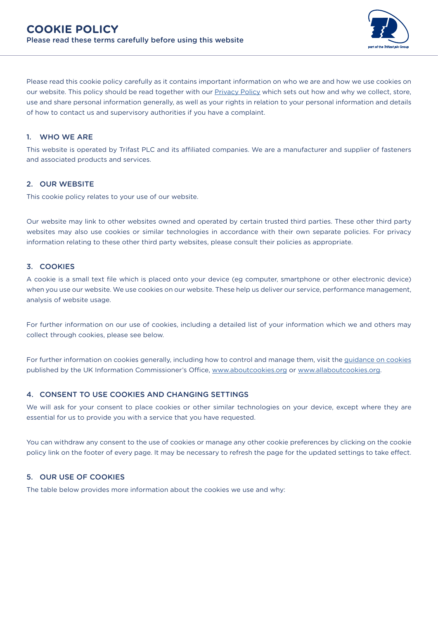

Please read this cookie policy carefully as it contains important information on who we are and how we use cookies on our website. This policy should be read together with our **Privacy Policy which sets out how and why we collect**, store, use and share personal information generally, as well as your rights in relation to your personal information and details of how to contact us and supervisory authorities if you have a complaint.

### 1. WHO WE ARE

This website is operated by Trifast PLC and its affiliated companies. We are a manufacturer and supplier of fasteners and associated products and services.

#### 2. OUR WEBSITE

This cookie policy relates to your use of our website.

Our website may link to other websites owned and operated by certain trusted third parties. These other third party websites may also use cookies or similar technologies in accordance with their own separate policies. For privacy information relating to these other third party websites, please consult their policies as appropriate.

### 3. COOKIES

A cookie is a small text file which is placed onto your device (eg computer, smartphone or other electronic device) when you use our website. We use cookies on our website. These help us deliver our service, performance management, analysis of website usage.

For further information on our use of cookies, including a detailed list of your information which we and others may collect through cookies, please see below.

For further information on cookies generally, including how to control and manage them, visit the [guidance on cookies](https://ico.org.uk/your-data-matters/online/cookies/) published by the UK Information Commissioner's Office, [www.aboutcookies.org](http://www.aboutcookies.org) or [www.allaboutcookies.org.](http://www.allaboutcookies.org)

#### 4. CONSENT TO USE COOKIES AND CHANGING SETTINGS

We will ask for your consent to place cookies or other similar technologies on your device, except where they are essential for us to provide you with a service that you have requested.

You can withdraw any consent to the use of cookies or manage any other cookie preferences by clicking on the cookie policy link on the footer of every page. It may be necessary to refresh the page for the updated settings to take effect.

### 5. OUR USE OF COOKIES

The table below provides more information about the cookies we use and why: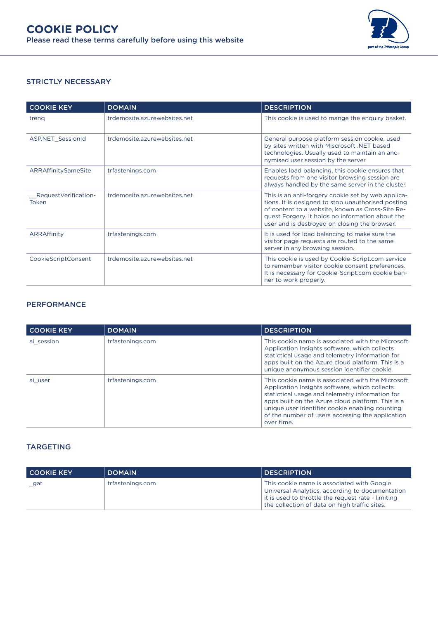

# STRICTLY NECESSARY

| <b>COOKIE KEY</b>              | <b>DOMAIN</b>                | <b>DESCRIPTION</b>                                                                                                                                                                                                                                                |
|--------------------------------|------------------------------|-------------------------------------------------------------------------------------------------------------------------------------------------------------------------------------------------------------------------------------------------------------------|
| trena                          | trdemosite.azurewebsites.net | This cookie is used to mange the enquiry basket.                                                                                                                                                                                                                  |
| <b>ASP.NET SessionId</b>       | trdemosite.azurewebsites.net | General purpose platform session cookie, used<br>by sites written with Miscrosoft .NET based<br>technologies. Usually used to maintain an ano-<br>nymised user session by the server.                                                                             |
| ARRAffinitySameSite            | trfastenings.com             | Enables load balancing, this cookie ensures that<br>requests from one visitor browsing session are<br>always handled by the same server in the cluster.                                                                                                           |
| Request Verification-<br>Token | trdemosite azurewebsites net | This is an anti-forgery cookie set by web applica-<br>tions. It is designed to stop unauthorised posting<br>of content to a website, known as Cross-Site Re-<br>quest Forgery. It holds no information about the<br>user and is destroyed on closing the browser. |
| ARRAffinity                    | trfastenings.com             | It is used for load balancing to make sure the<br>visitor page requests are routed to the same<br>server in any browsing session.                                                                                                                                 |
| <b>CookieScriptConsent</b>     | trdemosite.azurewebsites.net | This cookie is used by Cookie-Script.com service<br>to remember visitor cookie consent preferences.<br>It is necessary for Cookie-Script.com cookie ban-<br>ner to work properly.                                                                                 |

## PERFORMANCE

| <b>COOKIE KEY</b> | <b>DOMAIN</b>    | <b>DESCRIPTION</b>                                                                                                                                                                                                                                                                                                              |
|-------------------|------------------|---------------------------------------------------------------------------------------------------------------------------------------------------------------------------------------------------------------------------------------------------------------------------------------------------------------------------------|
| ai session        | trfastenings.com | This cookie name is associated with the Microsoft<br>Application Insights software, which collects<br>statictical usage and telemetry information for<br>apps built on the Azure cloud platform. This is a<br>unique anonymous session identifier cookie.                                                                       |
| ai user           | trfastenings.com | This cookie name is associated with the Microsoft<br>Application Insights software, which collects<br>statictical usage and telemetry information for<br>apps built on the Azure cloud platform. This is a<br>unique user identifier cookie enabling counting<br>of the number of users accessing the application<br>over time. |

# TARGETING

| <b>COOKIE KEY</b> | <b>DOMAIN</b>    | <b>DESCRIPTION</b>                                                                                                                                                                                   |
|-------------------|------------------|------------------------------------------------------------------------------------------------------------------------------------------------------------------------------------------------------|
| gat               | trfastenings.com | This cookie name is associated with Google<br>Universal Analytics, according to documentation<br>it is used to throttle the request rate - limiting<br>the collection of data on high traffic sites. |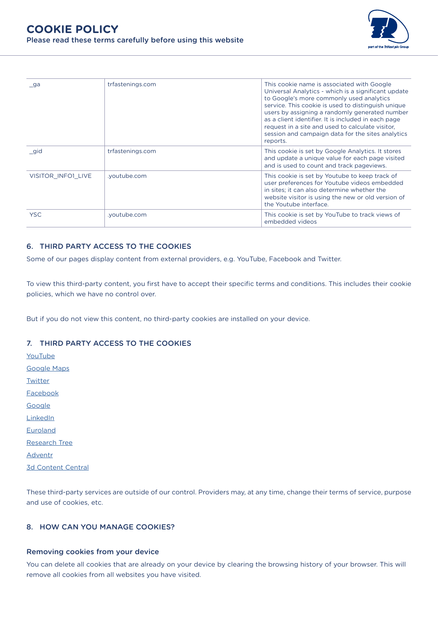

| ga                 | trfastenings.com | This cookie name is associated with Google<br>Universal Analytics - which is a significant update<br>to Google's more commonly used analytics<br>service. This cookie is used to distinguish unique<br>users by assigning a randomly generated number<br>as a client identifier. It is included in each page<br>request in a site and used to calculate visitor,<br>session and campaign data for the sites analytics<br>reports. |
|--------------------|------------------|-----------------------------------------------------------------------------------------------------------------------------------------------------------------------------------------------------------------------------------------------------------------------------------------------------------------------------------------------------------------------------------------------------------------------------------|
| gid                | trfastenings.com | This cookie is set by Google Analytics. It stores<br>and update a unique value for each page visited<br>and is used to count and track pageviews.                                                                                                                                                                                                                                                                                 |
| VISITOR INFO1 LIVE | .youtube.com     | This cookie is set by Youtube to keep track of<br>user preferences for Youtube videos embedded<br>in sites: it can also determine whether the<br>website visitor is using the new or old version of<br>the Youtube interface.                                                                                                                                                                                                     |
| <b>YSC</b>         | .youtube.com     | This cookie is set by YouTube to track views of<br>embedded videos                                                                                                                                                                                                                                                                                                                                                                |

## 6. THIRD PARTY ACCESS TO THE COOKIES

Some of our pages display content from external providers, e.g. YouTube, Facebook and Twitter.

To view this third-party content, you first have to accept their specific terms and conditions. This includes their cookie policies, which we have no control over.

But if you do not view this content, no third-party cookies are installed on your device.

### 7. THIRD PARTY ACCESS TO THE COOKIES

[YouTube](https://www.youtube.com/t/terms) [Google Maps](https://www.google.com/intl/en_be/help/terms_maps/) **[Twitter](https://twitter.com/en/tos#intlTerms)** [Facebook](https://www.facebook.com/legal/terms) **[Google](https://policies.google.com/terms?hl=en&gl=be) [LinkedIn](https://www.linkedin.com/legal/user-agreement) [Euroland](https://asia.tools.euroland.com/legal/cookie/?lang=en-GB#:~:text=Euroland.com%20uses%20cookies%20for,on%20Euroland.com%27%20servers)** [Research Tree](https://www.research-tree.com/General/PrivacyPolicy#:~:text=These%20cookies%20help%20us%20to,of%20the%20site%20they%20visit) [Adventr](https://adventr.io/legal/privacy-policy) [3d Content Central](https://www.3dcontentcentral.com/Cookies.aspx)

These third-party services are outside of our control. Providers may, at any time, change their terms of service, purpose and use of cookies, etc.

# 8. HOW CAN YOU MANAGE COOKIES?

#### Removing cookies from your device

You can delete all cookies that are already on your device by clearing the browsing history of your browser. This will remove all cookies from all websites you have visited.